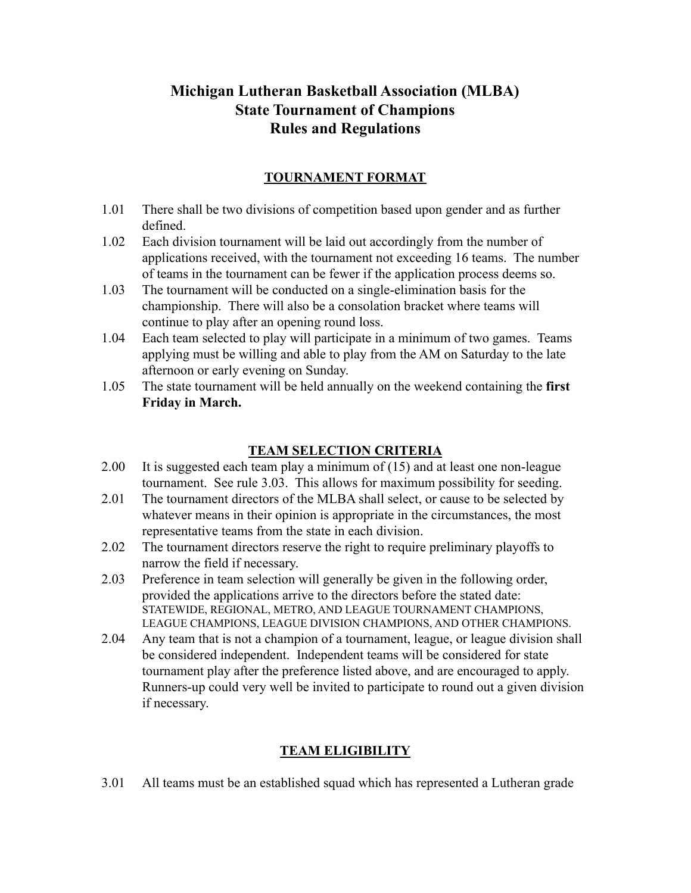# **Michigan Lutheran Basketball Association (MLBA) State Tournament of Champions Rules and Regulations**

### **TOURNAMENT FORMAT**

- 1.01 There shall be two divisions of competition based upon gender and as further defined.
- 1.02 Each division tournament will be laid out accordingly from the number of applications received, with the tournament not exceeding 16 teams. The number of teams in the tournament can be fewer if the application process deems so.
- 1.03 The tournament will be conducted on a single-elimination basis for the championship. There will also be a consolation bracket where teams will continue to play after an opening round loss.
- 1.04 Each team selected to play will participate in a minimum of two games. Teams applying must be willing and able to play from the AM on Saturday to the late afternoon or early evening on Sunday.
- 1.05 The state tournament will be held annually on the weekend containing the **first Friday in March.**

### **TEAM SELECTION CRITERIA**

- 2.00 It is suggested each team play a minimum of (15) and at least one non-league tournament. See rule 3.03. This allows for maximum possibility for seeding.
- 2.01 The tournament directors of the MLBA shall select, or cause to be selected by whatever means in their opinion is appropriate in the circumstances, the most representative teams from the state in each division.
- 2.02 The tournament directors reserve the right to require preliminary playoffs to narrow the field if necessary.
- 2.03 Preference in team selection will generally be given in the following order, provided the applications arrive to the directors before the stated date: STATEWIDE, REGIONAL, METRO, AND LEAGUE TOURNAMENT CHAMPIONS, LEAGUE CHAMPIONS, LEAGUE DIVISION CHAMPIONS, AND OTHER CHAMPIONS.
- 2.04 Any team that is not a champion of a tournament, league, or league division shall be considered independent. Independent teams will be considered for state tournament play after the preference listed above, and are encouraged to apply. Runners-up could very well be invited to participate to round out a given division if necessary.

# **TEAM ELIGIBILITY**

3.01 All teams must be an established squad which has represented a Lutheran grade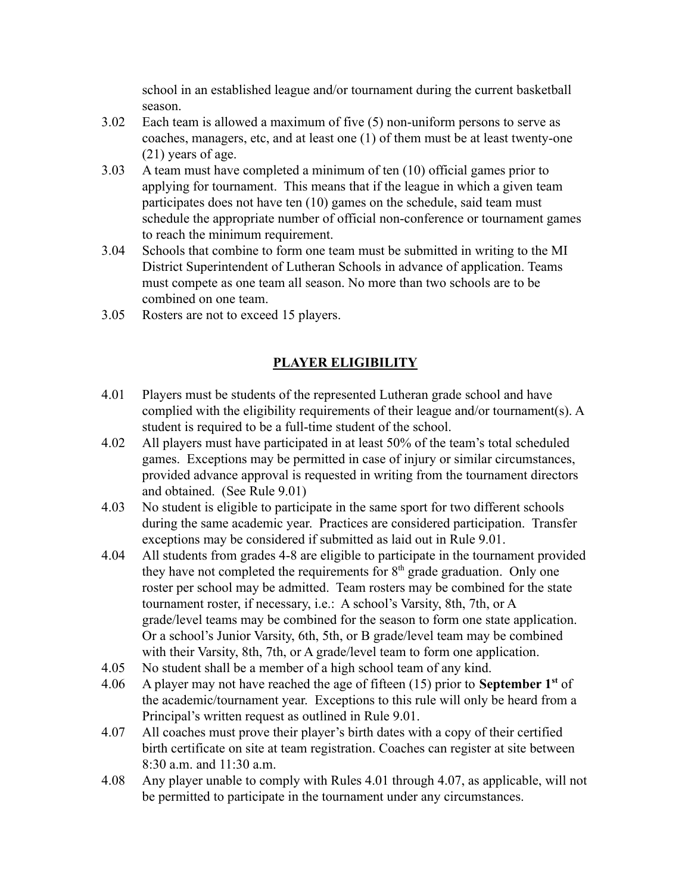school in an established league and/or tournament during the current basketball season.

- 3.02 Each team is allowed a maximum of five (5) non-uniform persons to serve as coaches, managers, etc, and at least one (1) of them must be at least twenty-one (21) years of age.
- 3.03 A team must have completed a minimum of ten (10) official games prior to applying for tournament. This means that if the league in which a given team participates does not have ten (10) games on the schedule, said team must schedule the appropriate number of official non-conference or tournament games to reach the minimum requirement.
- 3.04 Schools that combine to form one team must be submitted in writing to the MI District Superintendent of Lutheran Schools in advance of application. Teams must compete as one team all season. No more than two schools are to be combined on one team.
- 3.05 Rosters are not to exceed 15 players.

# **PLAYER ELIGIBILITY**

- 4.01 Players must be students of the represented Lutheran grade school and have complied with the eligibility requirements of their league and/or tournament(s). A student is required to be a full-time student of the school.
- 4.02 All players must have participated in at least 50% of the team's total scheduled games. Exceptions may be permitted in case of injury or similar circumstances, provided advance approval is requested in writing from the tournament directors and obtained. (See Rule 9.01)
- 4.03 No student is eligible to participate in the same sport for two different schools during the same academic year. Practices are considered participation. Transfer exceptions may be considered if submitted as laid out in Rule 9.01.
- 4.04 All students from grades 4-8 are eligible to participate in the tournament provided they have not completed the requirements for  $8<sup>th</sup>$  grade graduation. Only one roster per school may be admitted. Team rosters may be combined for the state tournament roster, if necessary, i.e.: A school's Varsity, 8th, 7th, or A grade/level teams may be combined for the season to form one state application. Or a school's Junior Varsity, 6th, 5th, or B grade/level team may be combined with their Varsity, 8th, 7th, or A grade/level team to form one application.
- 4.05 No student shall be a member of a high school team of any kind.
- 4.06 A player may not have reached the age of fifteen (15) prior to **September 1st** of the academic/tournament year. Exceptions to this rule will only be heard from a Principal's written request as outlined in Rule 9.01.
- 4.07 All coaches must prove their player's birth dates with a copy of their certified birth certificate on site at team registration. Coaches can register at site between 8:30 a.m. and 11:30 a.m.
- 4.08 Any player unable to comply with Rules 4.01 through 4.07, as applicable, will not be permitted to participate in the tournament under any circumstances.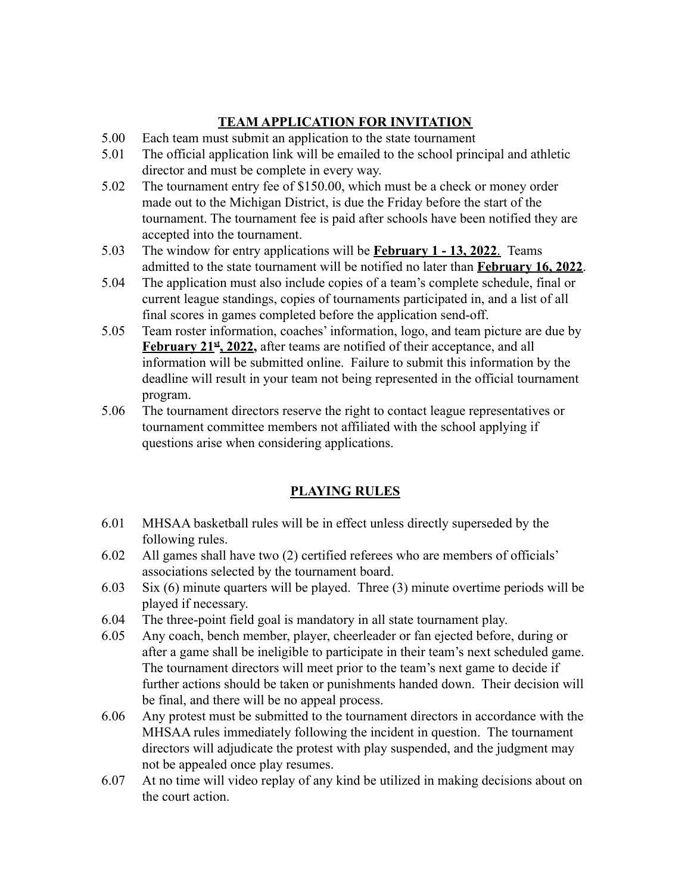# **TEAM APPLICATION FOR INVITATION**

- 5.00 Each team must submit an application to the state tournament
- 5.01 The official application link will be emailed to the school principal and athletic director and must be complete in every way.
- 5.02 The tournament entry fee of \$150.00, which must be a check or money order made out to the Michigan District, is due the Friday before the start of the tournament. The tournament fee is paid after schools have been notified they are accepted into the tournament.
- 5.03 The window for entry applications will be **February 1 13, 2022**. Teams admitted to the state tournament will be notified no later than **February 16, 2022**.
- 5.04 The application must also include copies of a team's complete schedule, final or current league standings, copies of tournaments participated in, and a list of all final scores in games completed before the application send-off.
- 5.05 Team roster information, coaches' information, logo, and team picture are due by **February 21st , 2022,** after teams are notified of their acceptance, and all information will be submitted online. Failure to submit this information by the deadline will result in your team not being represented in the official tournament program.
- 5.06 The tournament directors reserve the right to contact league representatives or tournament committee members not affiliated with the school applying if questions arise when considering applications.

### **PLAYING RULES**

- 6.01 MHSAA basketball rules will be in effect unless directly superseded by the following rules.
- 6.02 All games shall have two (2) certified referees who are members of officials' associations selected by the tournament board.
- 6.03 Six (6) minute quarters will be played. Three (3) minute overtime periods will be played if necessary.
- 6.04 The three-point field goal is mandatory in all state tournament play.
- 6.05 Any coach, bench member, player, cheerleader or fan ejected before, during or after a game shall be ineligible to participate in their team's next scheduled game. The tournament directors will meet prior to the team's next game to decide if further actions should be taken or punishments handed down. Their decision will be final, and there will be no appeal process.
- 6.06 Any protest must be submitted to the tournament directors in accordance with the MHSAA rules immediately following the incident in question. The tournament directors will adjudicate the protest with play suspended, and the judgment may not be appealed once play resumes.
- 6.07 At no time will video replay of any kind be utilized in making decisions about on the court action.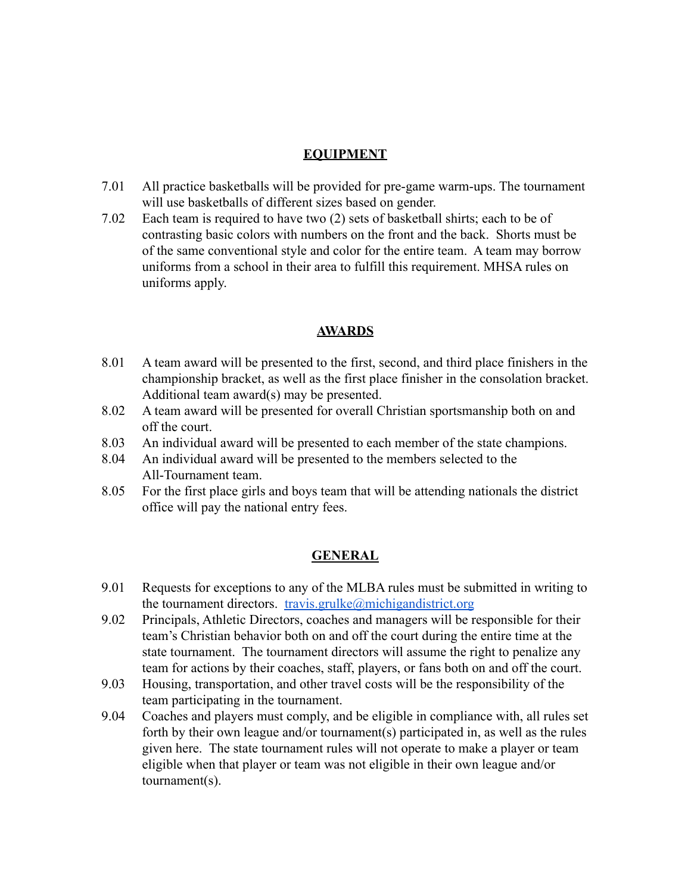#### **EQUIPMENT**

- 7.01 All practice basketballs will be provided for pre-game warm-ups. The tournament will use basketballs of different sizes based on gender.
- 7.02 Each team is required to have two (2) sets of basketball shirts; each to be of contrasting basic colors with numbers on the front and the back. Shorts must be of the same conventional style and color for the entire team. A team may borrow uniforms from a school in their area to fulfill this requirement. MHSA rules on uniforms apply.

#### **AWARDS**

- 8.01 A team award will be presented to the first, second, and third place finishers in the championship bracket, as well as the first place finisher in the consolation bracket. Additional team award(s) may be presented.
- 8.02 A team award will be presented for overall Christian sportsmanship both on and off the court.
- 8.03 An individual award will be presented to each member of the state champions.
- 8.04 An individual award will be presented to the members selected to the All-Tournament team.
- 8.05 For the first place girls and boys team that will be attending nationals the district office will pay the national entry fees.

#### **GENERAL**

- 9.01 Requests for exceptions to any of the MLBA rules must be submitted in writing to the tournament directors. [travis.grulke@michigandistrict.org](mailto:travis.grulke@michigandistrict.org)
- 9.02 Principals, Athletic Directors, coaches and managers will be responsible for their team's Christian behavior both on and off the court during the entire time at the state tournament. The tournament directors will assume the right to penalize any team for actions by their coaches, staff, players, or fans both on and off the court.
- 9.03 Housing, transportation, and other travel costs will be the responsibility of the team participating in the tournament.
- 9.04 Coaches and players must comply, and be eligible in compliance with, all rules set forth by their own league and/or tournament(s) participated in, as well as the rules given here. The state tournament rules will not operate to make a player or team eligible when that player or team was not eligible in their own league and/or tournament(s).